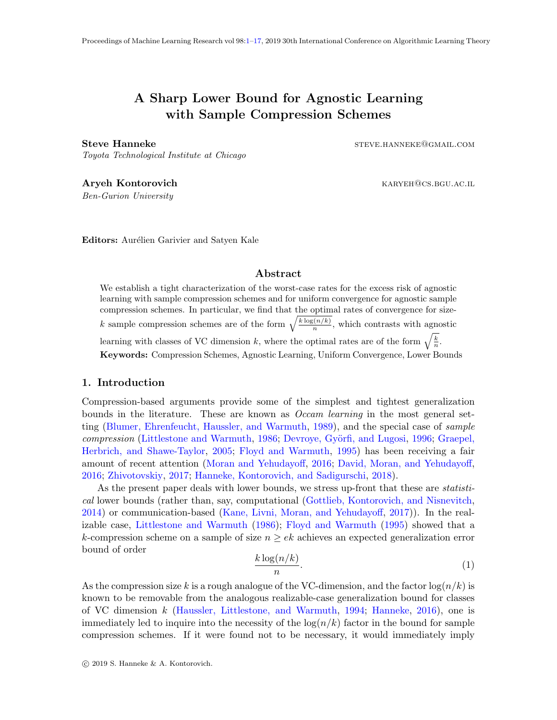# <span id="page-0-0"></span>A Sharp Lower Bound for Agnostic Learning with Sample Compression Schemes

Steve Hanneke steve.hanneke steve.hanneke steve.hanneke steve.hanneke steve.hanneke steve.hanneke steve.h

Toyota Technological Institute at Chicago

Aryeh Kontorovich **Karyeh Kontorovich** karyehologistics. KARYEH@CS.BGU.AC.IL Ben-Gurion University

Editors: Aurélien Garivier and Satyen Kale

Abstract

We establish a tight characterization of the worst-case rates for the excess risk of agnostic learning with sample compression schemes and for uniform convergence for agnostic sample compression schemes. In particular, we find that the optimal rates of convergence for sizek sample compression schemes are of the form  $\sqrt{\frac{k \log(n/k)}{n}}$  $\frac{n(n/k)}{n}$ , which contrasts with agnostic learning with classes of VC dimension k, where the optimal rates are of the form  $\sqrt{\frac{k}{n}}$ . Keywords: Compression Schemes, Agnostic Learning, Uniform Convergence, Lower Bounds

# 1. Introduction

Compression-based arguments provide some of the simplest and tightest generalization bounds in the literature. These are known as *Occam learning* in the most general setting [\(Blumer, Ehrenfeucht, Haussler, and Warmuth,](#page-15-0) [1989\)](#page-15-0), and the special case of sample compression [\(Littlestone and Warmuth,](#page-16-1) [1986;](#page-16-1) Devroye, Györfi, and Lugosi, [1996;](#page-15-1) [Graepel,](#page-15-2) [Herbrich, and Shawe-Taylor,](#page-15-2) [2005;](#page-15-2) [Floyd and Warmuth,](#page-15-3) [1995\)](#page-15-3) has been receiving a fair amount of recent attention [\(Moran and Yehudayoff,](#page-16-2) [2016;](#page-16-2) [David, Moran, and Yehudayoff,](#page-15-4) [2016;](#page-15-4) [Zhivotovskiy,](#page-16-3) [2017;](#page-16-3) [Hanneke, Kontorovich, and Sadigurschi,](#page-15-5) [2018\)](#page-15-5).

As the present paper deals with lower bounds, we stress up-front that these are *statisti*cal lower bounds (rather than, say, computational [\(Gottlieb, Kontorovich, and Nisnevitch,](#page-15-6) [2014\)](#page-15-6) or communication-based [\(Kane, Livni, Moran, and Yehudayoff,](#page-15-7) [2017\)](#page-15-7)). In the realizable case, [Littlestone and Warmuth](#page-16-1) [\(1986\)](#page-16-1); [Floyd and Warmuth](#page-15-3) [\(1995\)](#page-15-3) showed that a k-compression scheme on a sample of size  $n \geq ek$  achieves an expected generalization error bound of order

<span id="page-0-1"></span>
$$
\frac{k\log(n/k)}{n}.\tag{1}
$$

As the compression size k is a rough analogue of the VC-dimension, and the factor  $\log(n/k)$  is known to be removable from the analogous realizable-case generalization bound for classes of VC dimension k [\(Haussler, Littlestone, and Warmuth,](#page-15-8) [1994;](#page-15-8) [Hanneke,](#page-15-9) [2016\)](#page-15-9), one is immediately led to inquire into the necessity of the  $log(n/k)$  factor in the bound for sample compression schemes. If it were found not to be necessary, it would immediately imply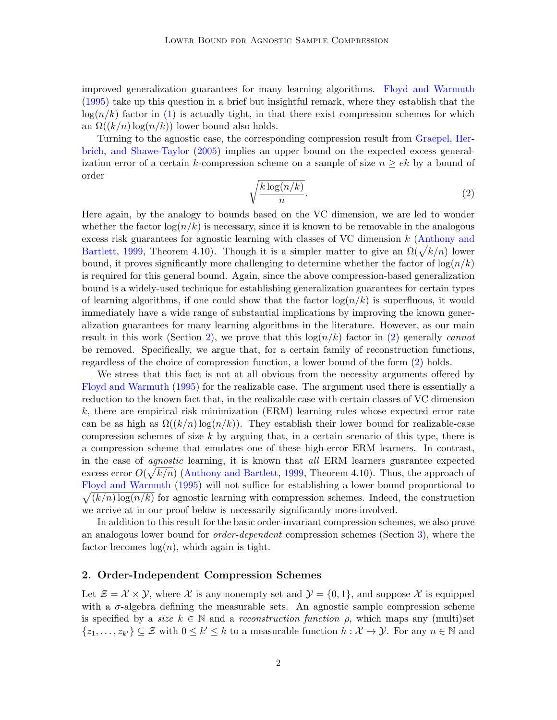improved generalization guarantees for many learning algorithms. [Floyd and Warmuth](#page-15-3) [\(1995\)](#page-15-3) take up this question in a brief but insightful remark, where they establish that the  $log(n/k)$  factor in [\(1\)](#page-0-1) is actually tight, in that there exist compression schemes for which an  $\Omega((k/n) \log(n/k))$  lower bound also holds.

Turning to the agnostic case, the corresponding compression result from [Graepel, Her](#page-15-2)[brich, and Shawe-Taylor](#page-15-2) [\(2005\)](#page-15-2) implies an upper bound on the expected excess generalization error of a certain k-compression scheme on a sample of size  $n \geq ek$  by a bound of order

<span id="page-1-1"></span>
$$
\sqrt{\frac{k\log(n/k)}{n}}.\tag{2}
$$

Here again, by the analogy to bounds based on the VC dimension, we are led to wonder whether the factor  $\log(n/k)$  is necessary, since it is known to be removable in the analogous excess risk guarantees for agnostic learning with classes of VC dimension k [\(Anthony and](#page-15-10) [Bartlett,](#page-15-10) [1999,](#page-15-10) Theorem 4.10). Though it is a simpler matter to give an  $\Omega(\sqrt{k/n})$  lower bound, it proves significantly more challenging to determine whether the factor of  $\log(n/k)$ is required for this general bound. Again, since the above compression-based generalization bound is a widely-used technique for establishing generalization guarantees for certain types of learning algorithms, if one could show that the factor  $\log(n/k)$  is superfluous, it would immediately have a wide range of substantial implications by improving the known generalization guarantees for many learning algorithms in the literature. However, as our main result in this work (Section [2\)](#page-1-0), we prove that this  $log(n/k)$  factor in [\(2\)](#page-1-1) generally *cannot* be removed. Specifically, we argue that, for a certain family of reconstruction functions, regardless of the choice of compression function, a lower bound of the form [\(2\)](#page-1-1) holds.

We stress that this fact is not at all obvious from the necessity arguments offered by [Floyd and Warmuth](#page-15-3) [\(1995\)](#page-15-3) for the realizable case. The argument used there is essentially a reduction to the known fact that, in the realizable case with certain classes of VC dimension k, there are empirical risk minimization (ERM) learning rules whose expected error rate can be as high as  $\Omega((k/n) \log(n/k))$ . They establish their lower bound for realizable-case compression schemes of size k by arguing that, in a certain scenario of this type, there is a compression scheme that emulates one of these high-error ERM learners. In contrast, in the case of agnostic learning, it is known that all ERM learners guarantee expected excess error  $O(\sqrt{k/n})$  [\(Anthony and Bartlett,](#page-15-10) [1999,](#page-15-10) Theorem 4.10). Thus, the approach of [Floyd and Warmuth](#page-15-3) [\(1995\)](#page-15-3) will not suffice for establishing a lower bound proportional to  $\sqrt{(k/n) \log(n/k)}$  for agnostic learning with compression schemes. Indeed, the construction we arrive at in our proof below is necessarily significantly more-involved.

In addition to this result for the basic order-invariant compression schemes, we also prove an analogous lower bound for *order-dependent* compression schemes (Section [3\)](#page-9-0), where the factor becomes  $log(n)$ , which again is tight.

#### <span id="page-1-0"></span>2. Order-Independent Compression Schemes

Let  $\mathcal{Z} = \mathcal{X} \times \mathcal{Y}$ , where X is any nonempty set and  $\mathcal{Y} = \{0, 1\}$ , and suppose X is equipped with a  $\sigma$ -algebra defining the measurable sets. An agnostic sample compression scheme is specified by a *size*  $k \in \mathbb{N}$  and a *reconstruction function*  $\rho$ , which maps any (multi)set  $\{z_1,\ldots,z_{k'}\}\subseteq\mathcal{Z}$  with  $0\leq k'\leq k$  to a measurable function  $h:\mathcal{X}\to\mathcal{Y}$ . For any  $n\in\mathbb{N}$  and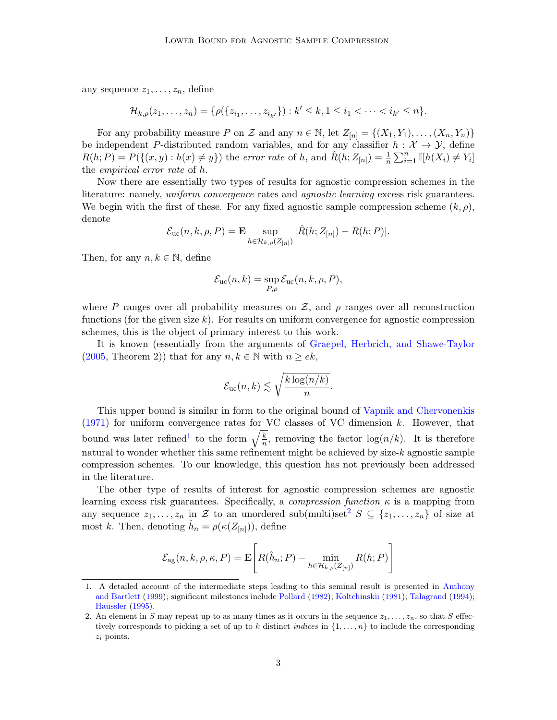any sequence  $z_1, \ldots, z_n$ , define

$$
\mathcal{H}_{k,\rho}(z_1,\ldots,z_n) = \{ \rho(\{z_{i_1},\ldots,z_{i_{k'}}\}) : k' \leq k, 1 \leq i_1 < \cdots < i_{k'} \leq n \}.
$$

For any probability measure P on Z and any  $n \in \mathbb{N}$ , let  $Z_{[n]} = \{(X_1, Y_1), \ldots, (X_n, Y_n)\}\$ be independent P-distributed random variables, and for any classifier  $h : \mathcal{X} \to \mathcal{Y}$ , define  $R(h; P) = P(\{(x, y) : h(x) \neq y\})$  the error rate of h, and  $\hat{R}(h; Z_{[n]}) = \frac{1}{n} \sum_{i=1}^{n} \mathbb{I}[h(X_i) \neq Y_i]$ the empirical error rate of h.

Now there are essentially two types of results for agnostic compression schemes in the literature: namely, *uniform convergence* rates and *agnostic learning* excess risk guarantees. We begin with the first of these. For any fixed agnostic sample compression scheme  $(k, \rho)$ , denote

$$
\mathcal{E}_{\text{uc}}(n,k,\rho,P) = \mathbf{E} \sup_{h \in \mathcal{H}_{k,\rho}(Z_{[n]})} |\hat{R}(h;Z_{[n]}) - R(h;P)|.
$$

Then, for any  $n, k \in \mathbb{N}$ , define

$$
\mathcal{E}_{\text{uc}}(n,k) = \sup_{P,\rho} \mathcal{E}_{\text{uc}}(n,k,\rho,P),
$$

where P ranges over all probability measures on Z, and  $\rho$  ranges over all reconstruction functions (for the given size  $k$ ). For results on uniform convergence for agnostic compression schemes, this is the object of primary interest to this work.

It is known (essentially from the arguments of [Graepel, Herbrich, and Shawe-Taylor](#page-15-2)  $(2005,$  Theorem 2)) that for any  $n, k \in \mathbb{N}$  with  $n \geq ek$ ,

$$
\mathcal{E}_{\text{uc}}(n,k) \lesssim \sqrt{\frac{k \log(n/k)}{n}}.
$$

This upper bound is similar in form to the original bound of [Vapnik and Chervonenkis](#page-16-4) [\(1971\)](#page-16-4) for uniform convergence rates for VC classes of VC dimension k. However, that bound was later refined<sup>[1](#page-2-0)</sup> to the form  $\sqrt{\frac{k}{n}}$  $\frac{k}{n}$ , removing the factor  $\log(n/k)$ . It is therefore natural to wonder whether this same refinement might be achieved by size- $k$  agnostic sample compression schemes. To our knowledge, this question has not previously been addressed in the literature.

The other type of results of interest for agnostic compression schemes are agnostic learning excess risk guarantees. Specifically, a *compression function*  $\kappa$  is a mapping from any sequence  $z_1, \ldots, z_n$  in Z to an unordered sub(multi)set<sup>[2](#page-2-1)</sup>  $S \subseteq \{z_1, \ldots, z_n\}$  of size at most k. Then, denoting  $\hat{h}_n = \rho(\kappa(Z_{[n]})),$  define

$$
\mathcal{E}_{\text{ag}}(n, k, \rho, \kappa, P) = \mathbf{E}\left[R(\hat{h}_n; P) - \min_{h \in \mathcal{H}_{k, \rho}(Z_{[n]})} R(h; P)\right]
$$

<span id="page-2-0"></span><sup>1.</sup> A detailed account of the intermediate steps leading to this seminal result is presented in [Anthony](#page-15-10) [and Bartlett](#page-15-10) [\(1999\)](#page-15-10); significant milestones include [Pollard](#page-16-5) [\(1982\)](#page-16-5); [Koltchinskii](#page-16-6) [\(1981\)](#page-16-6); [Talagrand](#page-16-7) [\(1994\)](#page-16-7); [Haussler](#page-15-11) [\(1995\)](#page-15-11).

<span id="page-2-1"></span><sup>2.</sup> An element in S may repeat up to as many times as it occurs in the sequence  $z_1, \ldots, z_n$ , so that S effectively corresponds to picking a set of up to k distinct *indices* in  $\{1, \ldots, n\}$  to include the corresponding  $z_i$  points.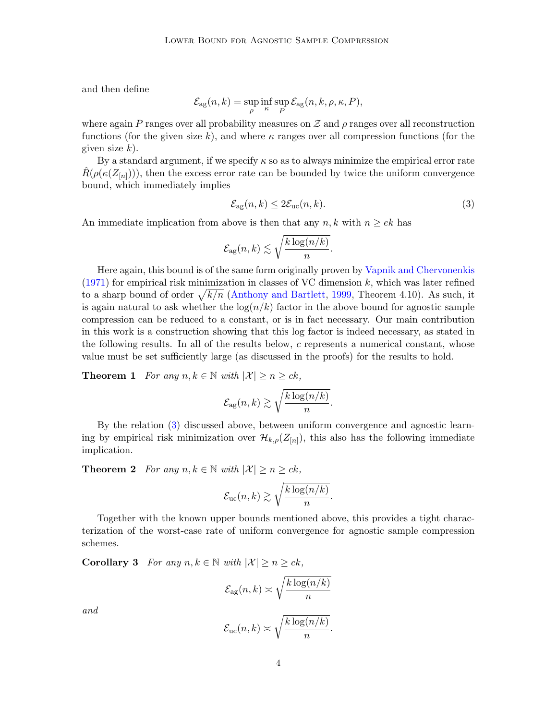and then define

$$
\mathcal{E}_{\text{ag}}(n,k) = \sup_{\rho} \inf_{\kappa} \sup_{P} \mathcal{E}_{\text{ag}}(n,k,\rho,\kappa,P),
$$

where again P ranges over all probability measures on  $\mathcal Z$  and  $\rho$  ranges over all reconstruction functions (for the given size k), and where  $\kappa$  ranges over all compression functions (for the given size  $k$ ).

By a standard argument, if we specify  $\kappa$  so as to always minimize the empirical error rate  $\hat{R}(\rho(\kappa(Z_{[n]}))),$  then the excess error rate can be bounded by twice the uniform convergence bound, which immediately implies

<span id="page-3-0"></span>
$$
\mathcal{E}_{\text{ag}}(n,k) \le 2\mathcal{E}_{\text{uc}}(n,k). \tag{3}
$$

An immediate implication from above is then that any  $n, k$  with  $n \geq ek$  has

$$
\mathcal{E}_{\text{ag}}(n,k) \lesssim \sqrt{\frac{k \log(n/k)}{n}}.
$$

Here again, this bound is of the same form originally proven by [Vapnik and Chervonenkis](#page-16-4)  $(1971)$  for empirical risk minimization in classes of VC dimension k, which was later refined to a sharp bound of order  $\sqrt{k/n}$  [\(Anthony and Bartlett,](#page-15-10) [1999,](#page-15-10) Theorem 4.10). As such, it is again natural to ask whether the  $\log(n/k)$  factor in the above bound for agnostic sample compression can be reduced to a constant, or is in fact necessary. Our main contribution in this work is a construction showing that this log factor is indeed necessary, as stated in the following results. In all of the results below,  $c$  represents a numerical constant, whose value must be set sufficiently large (as discussed in the proofs) for the results to hold.

<span id="page-3-1"></span>**Theorem 1** For any  $n, k \in \mathbb{N}$  with  $|\mathcal{X}| \geq n \geq ck$ ,

$$
\mathcal{E}_{\text{ag}}(n,k) \gtrsim \sqrt{\frac{k \log(n/k)}{n}}.
$$

By the relation [\(3\)](#page-3-0) discussed above, between uniform convergence and agnostic learning by empirical risk minimization over  $\mathcal{H}_{k,\rho}(Z_{[n]})$ , this also has the following immediate implication.

**Theorem 2** For any  $n, k \in \mathbb{N}$  with  $|\mathcal{X}| \geq n \geq ck$ ,

$$
\mathcal{E}_{\text{uc}}(n,k) \gtrsim \sqrt{\frac{k \log(n/k)}{n}}.
$$

Together with the known upper bounds mentioned above, this provides a tight characterization of the worst-case rate of uniform convergence for agnostic sample compression schemes.

Corollary 3 For any  $n, k \in \mathbb{N}$  with  $|\mathcal{X}| \geq n \geq ck$ ,

$$
\mathcal{E}_{\text{ag}}(n,k) \asymp \sqrt{\frac{k \log(n/k)}{n}}
$$

and

$$
\mathcal{E}_{\rm uc}(n,k) \asymp \sqrt{\frac{k \log(n/k)}{n}}.
$$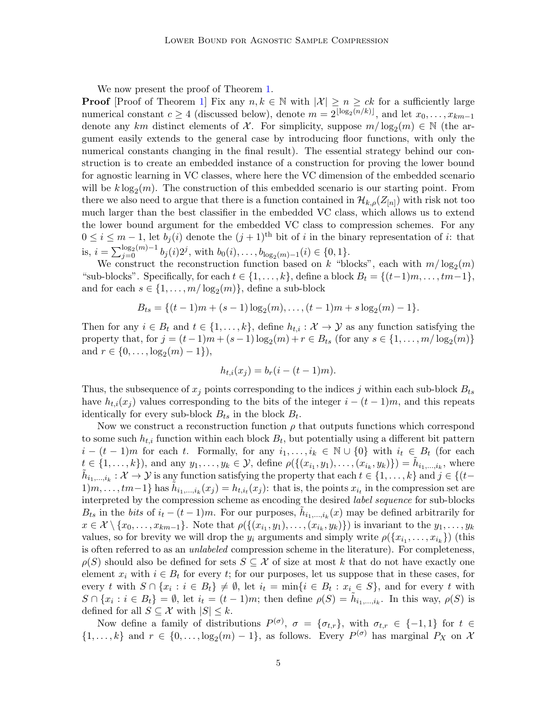We now present the proof of Theorem [1.](#page-3-1)

**Proof** [Proof of Theorem [1\]](#page-3-1) Fix any  $n, k \in \mathbb{N}$  with  $|\mathcal{X}| \geq n \geq ck$  for a sufficiently large numerical constant  $c \geq 4$  (discussed below), denote  $m = 2^{\lfloor \log_2(n/k) \rfloor}$ , and let  $x_0, \ldots, x_{km-1}$ denote any km distinct elements of X. For simplicity, suppose  $m/\log_2(m) \in \mathbb{N}$  (the argument easily extends to the general case by introducing floor functions, with only the numerical constants changing in the final result). The essential strategy behind our construction is to create an embedded instance of a construction for proving the lower bound for agnostic learning in VC classes, where here the VC dimension of the embedded scenario will be  $k \log_2(m)$ . The construction of this embedded scenario is our starting point. From there we also need to argue that there is a function contained in  $\mathcal{H}_{k,\rho}(Z_{[n]})$  with risk not too much larger than the best classifier in the embedded VC class, which allows us to extend the lower bound argument for the embedded VC class to compression schemes. For any  $0 \leq i \leq m-1$ , let  $b_i(i)$  denote the  $(j+1)$ <sup>th</sup> bit of i in the binary representation of i: that is,  $i = \sum_{j=0}^{\log_2(m)-1} b_j(i) 2^j$ , with  $b_0(i), \ldots, b_{\log_2(m)-1}(i) \in \{0, 1\}$ .

We construct the reconstruction function based on k "blocks", each with  $m/\log_2(m)$ "sub-blocks". Specifically, for each  $t \in \{1, \ldots, k\}$ , define a block  $B_t = \{(t-1)m, \ldots, tm-1\}$ , and for each  $s \in \{1, ..., m/\log_2(m)\}\$ , define a sub-block

$$
B_{ts} = \{(t-1)m + (s-1)\log_2(m), \ldots, (t-1)m + s\log_2(m) - 1\}.
$$

Then for any  $i \in B_t$  and  $t \in \{1, ..., k\}$ , define  $h_{t,i} : \mathcal{X} \to \mathcal{Y}$  as any function satisfying the property that, for  $j = (t-1)m + (s-1)\log_2(m) + r \in B_{ts}$  (for any  $s \in \{1, ..., m/\log_2(m)\}\$ and  $r \in \{0, \ldots, \log_2(m) - 1\}$ ,

$$
h_{t,i}(x_j) = b_r(i - (t-1)m).
$$

Thus, the subsequence of  $x_j$  points corresponding to the indices j within each sub-block  $B_{ts}$ have  $h_{t,i}(x_j)$  values corresponding to the bits of the integer  $i - (t-1)m$ , and this repeats identically for every sub-block  $B_{ts}$  in the block  $B_t$ .

Now we construct a reconstruction function  $\rho$  that outputs functions which correspond to some such  $h_{t,i}$  function within each block  $B_t$ , but potentially using a different bit pattern  $i - (t - 1)m$  for each t. Formally, for any  $i_1, \ldots, i_k \in \mathbb{N} \cup \{0\}$  with  $i_t \in B_t$  (for each  $t \in \{1, ..., k\}$ , and any  $y_1, ..., y_k \in \mathcal{Y}$ , define  $\rho(\{(x_{i_1}, y_1), ..., (x_{i_k}, y_k)\}) = \tilde{h}_{i_1, ..., i_k}$ , where  $\tilde{h}_{i_1,...,i_k}:\mathcal{X}\to\mathcal{Y}$  is any function satisfying the property that each  $t\in\{1,\ldots,k\}$  and  $\tilde{j}\in\{(t-\tau)\}$  $1/m, \ldots, tm-1$ } has  $\tilde{h}_{i_1,\ldots,i_k}(x_j) = h_{t,i_t}(x_j)$ : that is, the points  $x_{i_t}$  in the compression set are interpreted by the compression scheme as encoding the desired label sequence for sub-blocks  $B_{ts}$  in the bits of  $i_t - (t-1)m$ . For our purposes,  $\tilde{h}_{i_1,\dots,i_k}(x)$  may be defined arbitrarily for  $x \in \mathcal{X} \setminus \{x_0, \ldots, x_{km-1}\}.$  Note that  $\rho(\{(x_{i_1}, y_1), \ldots, (x_{i_k}, y_k)\})$  is invariant to the  $y_1, \ldots, y_k$ values, so for brevity we will drop the  $y_i$  arguments and simply write  $\rho(\{x_{i_1}, \ldots, x_{i_k}\})$  (this is often referred to as an *unlabeled* compression scheme in the literature). For completeness,  $\rho(S)$  should also be defined for sets  $S \subseteq \mathcal{X}$  of size at most k that do not have exactly one element  $x_i$  with  $i \in B_t$  for every t; for our purposes, let us suppose that in these cases, for every t with  $S \cap \{x_i : i \in B_t\} \neq \emptyset$ , let  $i_t = \min\{i \in B_t : x_i \in S\}$ , and for every t with  $S \cap \{x_i : i \in B_t\} = \emptyset$ , let  $i_t = (t-1)m$ ; then define  $\rho(S) = \tilde{h}_{i_1,\dots,i_k}$ . In this way,  $\rho(S)$  is defined for all  $S \subseteq \mathcal{X}$  with  $|S| \leq k$ .

Now define a family of distributions  $P^{(\sigma)}$ ,  $\sigma = {\sigma_{t,r}}$ , with  $\sigma_{t,r} \in \{-1,1\}$  for  $t \in$  $\{1,\ldots,k\}$  and  $r \in \{0,\ldots,\log_2(m)-1\}$ , as follows. Every  $P^{(\sigma)}$  has marginal  $P_X$  on X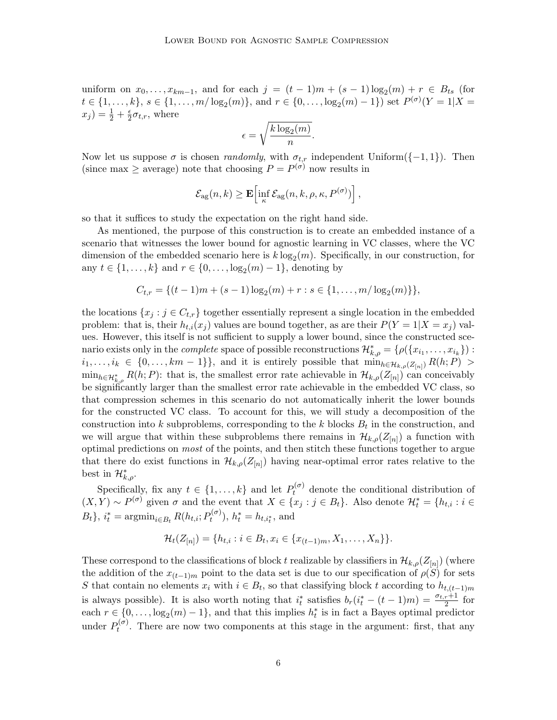uniform on  $x_0, \ldots, x_{km-1}$ , and for each  $j = (t-1)m + (s-1)\log_2(m) + r \in B_{ts}$  (for  $t \in \{1, \ldots, k\}, s \in \{1, \ldots, m/\log_2(m)\}, \text{ and } r \in \{0, \ldots, \log_2(m) - 1\}) \text{ set } P^{(\sigma)}(Y = 1 | X =$  $(x_j) = \frac{1}{2} + \frac{\epsilon}{2}$  $\frac{\epsilon}{2} \sigma_{t,r}$ , where

$$
\epsilon = \sqrt{\frac{k \log_2(m)}{n}}.
$$

Now let us suppose  $\sigma$  is chosen *randomly*, with  $\sigma_{t,r}$  independent Uniform({-1,1}). Then (since max  $\geq$  average) note that choosing  $P = P^{(\sigma)}$  now results in

$$
\mathcal{E}_{\text{ag}}(n,k) \geq \mathbf{E}\left[\inf_{\kappa} \mathcal{E}_{\text{ag}}(n,k,\rho,\kappa,P^{(\sigma)})\right],
$$

so that it suffices to study the expectation on the right hand side.

As mentioned, the purpose of this construction is to create an embedded instance of a scenario that witnesses the lower bound for agnostic learning in VC classes, where the VC dimension of the embedded scenario here is  $k \log_2(m)$ . Specifically, in our construction, for any  $t \in \{1, \ldots, k\}$  and  $r \in \{0, \ldots, \log_2(m) - 1\}$ , denoting by

$$
C_{t,r} = \{(t-1)m + (s-1)\log_2(m) + r : s \in \{1, \ldots, m/\log_2(m)\}\},\
$$

the locations  $\{x_j : j \in C_{t,r}\}\$ together essentially represent a single location in the embedded problem: that is, their  $h_{t,i}(x_j)$  values are bound together, as are their  $P(Y=1|X=x_j)$  values. However, this itself is not sufficient to supply a lower bound, since the constructed scenario exists only in the *complete* space of possible reconstructions  $\mathcal{H}_{k,\rho}^* = \{\rho(\{x_{i_1}, \ldots, x_{i_k}\})$ :  $i_1, \ldots, i_k \in \{0, \ldots, km-1\}\}\$ , and it is entirely possible that  $\min_{h \in \mathcal{H}_{k,\rho}(Z_{[n]})} R(h;P) >$  $\min_{h \in \mathcal{H}_{k,\rho}^*} R(h;P)$ : that is, the smallest error rate achievable in  $\mathcal{H}_{k,\rho}(Z_{[n]})$  can conceivably be significantly larger than the smallest error rate achievable in the embedded VC class, so that compression schemes in this scenario do not automatically inherit the lower bounds for the constructed VC class. To account for this, we will study a decomposition of the construction into k subproblems, corresponding to the k blocks  $B_t$  in the construction, and we will argue that within these subproblems there remains in  $\mathcal{H}_{k,\rho}(Z_{[n]})$  a function with optimal predictions on most of the points, and then stitch these functions together to argue that there do exist functions in  $\mathcal{H}_{k,\rho}(Z_{[n]})$  having near-optimal error rates relative to the best in  $\mathcal{H}_{k,\rho}^*$ .

Specifically, fix any  $t \in \{1, ..., k\}$  and let  $P_t^{(\sigma)}$  denote the conditional distribution of  $(X,Y) \sim P^{(\sigma)}$  given  $\sigma$  and the event that  $X \in \{x_j : j \in B_t\}$ . Also denote  $\mathcal{H}_t^* = \{h_{t,i} : i \in B_t\}$  $B_t$ ,  $i_t^* = \operatorname{argmin}_{i \in B_t} R(h_{t,i}; P_t^{(\sigma)})$  $h_t^{(\sigma)}$ ),  $h_t^* = h_{t,i_t^*}$ , and

$$
\mathcal{H}_t(Z_{[n]}) = \{h_{t,i} : i \in B_t, x_i \in \{x_{(t-1)m}, X_1, \ldots, X_n\}\}.
$$

These correspond to the classifications of block t realizable by classifiers in  $\mathcal{H}_{k,\rho}(Z_{[n]})$  (where the addition of the  $x_{(t-1)m}$  point to the data set is due to our specification of  $\rho(S)$  for sets S that contain no elements  $x_i$  with  $i \in B_t$ , so that classifying block t according to  $h_{t,(t-1)m}$ is always possible). It is also worth noting that  $i_t^*$  satisfies  $b_r(i_t^*-(t-1)m) = \frac{\sigma_{t,r}+1}{2}$  for each  $r \in \{0, \ldots, \log_2(m) - 1\}$ , and that this implies  $h_t^*$  is in fact a Bayes optimal predictor under  $P_t^{(\sigma)}$  $t^{(0)}$ . There are now two components at this stage in the argument: first, that any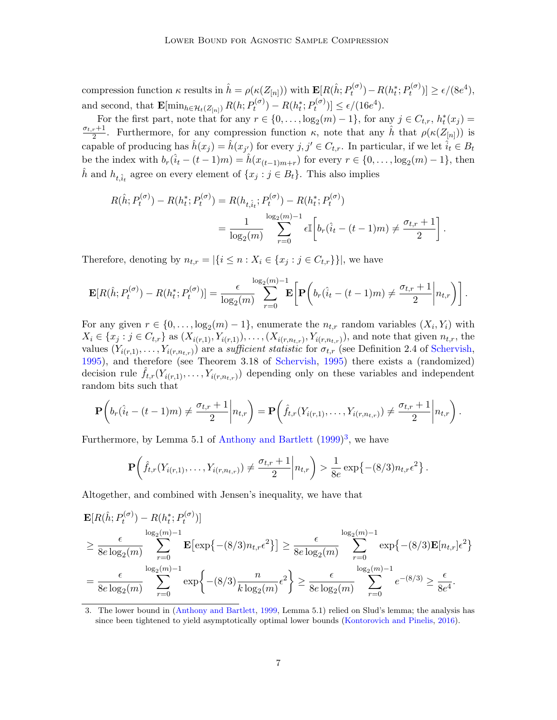compression function  $\kappa$  results in  $\hat{h} = \rho(\kappa(Z_{[n]}))$  with  $\mathbf{E}[R(\hat{h}; P_t^{(\sigma)})]$  $P_t^{(\sigma)}$ ) –  $R(h_t^*; P_t^{(\sigma)}$  $[e^{(\sigma)}] \ge \epsilon/(8e^4),$ and second, that  $\mathbf{E}[\min_{h \in \mathcal{H}_t(Z_{[n]})} R(h; P_t^{(\sigma)})]$  $P_t^{(\sigma)}$ ) –  $R(h_t^*; P_t^{(\sigma)}$  $t^{(\sigma)}(t) \leq \epsilon/(16e^4).$ 

For the first part, note that for any  $r \in \{0, \ldots, \log_2(m) - 1\}$ , for any  $j \in C_{t,r}$ ,  $h_t^*(x_j) =$  $\sigma_{t,r}+1$  $\frac{n+1}{2}$ . Furthermore, for any compression function  $\kappa$ , note that any  $\hat{h}$  that  $\rho(\kappa(Z_{[n]}))$  is capable of producing has  $\hat{h}(x_j) = \hat{h}(x_{j'})$  for every  $j, j' \in C_{t,r}$ . In particular, if we let  $\hat{i}_t \in B_t$ be the index with  $b_r(\hat{i}_t - (t-1)m) = \hat{h}(x_{(t-1)m+r})$  for every  $r \in \{0, \ldots, \log_2(m)-1\}$ , then  $\hat{h}$  and  $h_{t,\hat{i}_t}$  agree on every element of  $\{x_j : j \in B_t\}$ . This also implies

$$
R(\hat{h}; P_t^{(\sigma)}) - R(h_t^*; P_t^{(\sigma)}) = R(h_{t, \hat{i}_t}; P_t^{(\sigma)}) - R(h_t^*; P_t^{(\sigma)})
$$
  
= 
$$
\frac{1}{\log_2(m)} \sum_{r=0}^{\log_2(m)-1} \epsilon \mathbb{I}\left[b_r(\hat{i}_t - (t-1)m) \neq \frac{\sigma_{t,r} + 1}{2}\right].
$$

Therefore, denoting by  $n_{t,r} = |\{i \leq n : X_i \in \{x_j : j \in C_{t,r}\}\}|$ , we have

$$
\mathbf{E}[R(\hat{h}; P_t^{(\sigma)}) - R(h_t^*; P_t^{(\sigma)})] = \frac{\epsilon}{\log_2(m)} \sum_{r=0}^{\log_2(m)-1} \mathbf{E}\bigg[\mathbf{P}\bigg(b_r(\hat{i}_t - (t-1)m) \neq \frac{\sigma_{t,r}+1}{2}\bigg| n_{t,r}\bigg)\bigg].
$$

For any given  $r \in \{0, \ldots, \log_2(m) - 1\}$ , enumerate the  $n_{t,r}$  random variables  $(X_i, Y_i)$  with  $X_i \in \{x_j : j \in C_{t,r}\}\$ as  $(X_{i(r,1)}, Y_{i(r,1)}), \ldots, (X_{i(r,n_{t,r})}, Y_{i(r,n_{t,r})})$ , and note that given  $n_{t,r}$ , the values  $(Y_{i(r,1)},\ldots,Y_{i(r,n_{t,r})})$  are a sufficient statistic for  $\sigma_{t,r}$  (see Definition 2.4 of [Schervish,](#page-16-8) [1995\)](#page-16-8), and therefore (see Theorem 3.18 of [Schervish,](#page-16-8) [1995\)](#page-16-8) there exists a (randomized) decision rule  $\hat{f}_{t,r}(Y_{i(r,1)},\ldots,Y_{i(r,n_{t,r})})$  depending only on these variables and independent random bits such that

$$
\mathbf{P}\left(b_r(\hat{i}_t - (t-1)m) \neq \frac{\sigma_{t,r} + 1}{2} \bigg| n_{t,r}\right) = \mathbf{P}\left(\hat{f}_{t,r}(Y_{i(r,1)},\ldots,Y_{i(r,n_{t,r})}) \neq \frac{\sigma_{t,r} + 1}{2} \bigg| n_{t,r}\right).
$$

Furthermore, by Lemma 5.1 of [Anthony and Bartlett](#page-15-10) [\(1999\)](#page-15-10)<sup>[3](#page-6-0)</sup>, we have

$$
\mathbf{P}\bigg(\hat{f}_{t,r}(Y_{i(r,1)},\ldots,Y_{i(r,n_{t,r})})\neq \frac{\sigma_{t,r}+1}{2}\bigg|n_{t,r}\bigg)>\frac{1}{8e}\exp\big\{-(8/3)n_{t,r}\epsilon^2\big\}\,.
$$

Altogether, and combined with Jensen's inequality, we have that

$$
\mathbf{E}[R(\hat{h}; P_t^{(\sigma)}) - R(h_t^*; P_t^{(\sigma)})]
$$
\n
$$
\geq \frac{\epsilon}{8e \log_2(m)} \sum_{r=0}^{\log_2(m)-1} \mathbf{E}[\exp\{-(8/3)n_{t,r}\epsilon^2\}] \geq \frac{\epsilon}{8e \log_2(m)} \sum_{r=0}^{\log_2(m)-1} \exp\{-(8/3)\mathbf{E}[n_{t,r}]\epsilon^2\}
$$
\n
$$
= \frac{\epsilon}{8e \log_2(m)} \sum_{r=0}^{\log_2(m)-1} \exp\{- (8/3) \frac{n}{k \log_2(m)} \epsilon^2\} \geq \frac{\epsilon}{8e \log_2(m)} \sum_{r=0}^{\log_2(m)-1} e^{-(8/3)} \geq \frac{\epsilon}{8e^4}.
$$

<span id="page-6-0"></span><sup>3.</sup> The lower bound in [\(Anthony and Bartlett,](#page-15-10) [1999,](#page-15-10) Lemma 5.1) relied on Slud's lemma; the analysis has since been tightened to yield asymptotically optimal lower bounds [\(Kontorovich and Pinelis,](#page-16-9) [2016\)](#page-16-9).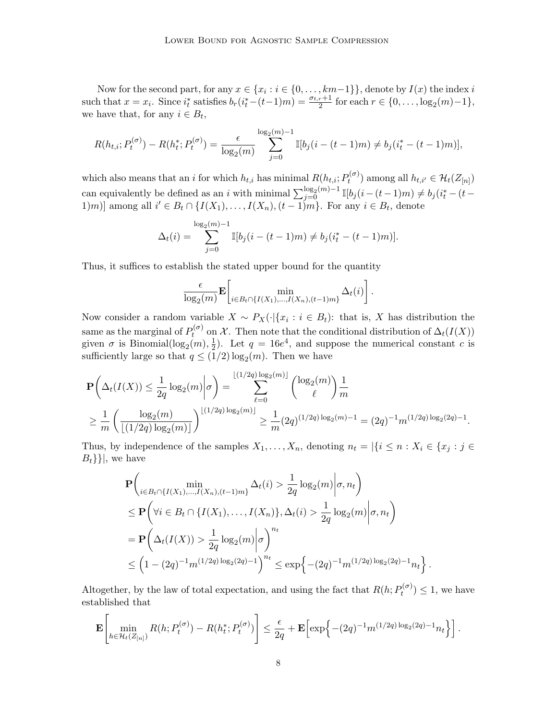Now for the second part, for any  $x \in \{x_i : i \in \{0, ..., km-1\}\}$ , denote by  $I(x)$  the index i such that  $x = x_i$ . Since  $i_t^*$  satisfies  $b_r(i_t^*-(t-1)m) = \frac{\sigma_{t,r}+1}{2}$  for each  $r \in \{0, \ldots, \log_2(m)-1\}$ , we have that, for any  $i \in B_t$ ,

$$
R(h_{t,i}; P_t^{(\sigma)}) - R(h_t^*; P_t^{(\sigma)}) = \frac{\epsilon}{\log_2(m)} \sum_{j=0}^{\log_2(m)-1} \mathbb{I}[b_j(i-(t-1)m) \neq b_j(i_t^*-(t-1)m)],
$$

which also means that an *i* for which  $h_{t,i}$  has minimal  $R(h_{t,i}; P_t^{(\sigma)})$  $(t^{(\sigma)}_t)$  among all  $h_{t,i'} \in \mathcal{H}_t(Z_{[n]})$ can equivalently be defined as an i with minimal  $\sum_{j=0}^{\log_2(m)-1} \mathbb{I}[b_j(i-(t-1)m) \neq b_j(i_t^*-(t-1)m)]$ 1)m)] among all  $i' \in B_t \cap \{I(X_1),..., I(X_n), (t-1)m\}$ . For any  $i \in B_t$ , denote

$$
\Delta_t(i) = \sum_{j=0}^{\log_2(m)-1} \mathbb{I}[b_j(i-(t-1)m) \neq b_j(i_t^*-(t-1)m)].
$$

Thus, it suffices to establish the stated upper bound for the quantity

$$
\frac{\epsilon}{\log_2(m)} \mathbf{E} \left[ \min_{i \in B_t \cap \{I(X_1),...,I(X_n),(t-1)m\}} \Delta_t(i) \right].
$$

Now consider a random variable  $X \sim P_X(\cdot | \{x_i : i \in B_t\})$ : that is, X has distribution the same as the marginal of  $P_t^{(\sigma)}$  $t^{(o)}$  on X. Then note that the conditional distribution of  $\Delta_t(I(X))$ given  $\sigma$  is Binomial( $\log_2(m)$ ,  $\frac{1}{2}$  $\frac{1}{2}$ ). Let  $q = 16e^4$ , and suppose the numerical constant c is sufficiently large so that  $q \leq (1/2) \log_2(m)$ . Then we have

$$
\mathbf{P}\left(\Delta_t(I(X)) \le \frac{1}{2q} \log_2(m) \middle| \sigma\right) = \sum_{\ell=0}^{\lfloor (1/2q) \log_2(m) \rfloor} {\log_2(m) \choose \ell} \frac{1}{m}
$$
  

$$
\ge \frac{1}{m} \left(\frac{\log_2(m)}{\lfloor (1/2q) \log_2(m) \rfloor}\right)^{\lfloor (1/2q) \log_2(m) \rfloor} \ge \frac{1}{m} (2q)^{(1/2q) \log_2(m)-1} = (2q)^{-1} m^{(1/2q) \log_2(2q)-1}.
$$

Thus, by independence of the samples  $X_1, \ldots, X_n$ , denoting  $n_t = |\{i \leq n : X_i \in \{x_i : j \in \mathbb{N}\}|$  $B_t\}$ , we have

$$
\mathbf{P}\left(\min_{i \in B_t \cap \{I(X_1),...,I(X_n),(t-1)m\}} \Delta_t(i) > \frac{1}{2q} \log_2(m) \middle| \sigma, n_t\right)
$$
\n
$$
\leq \mathbf{P}\left(\forall i \in B_t \cap \{I(X_1),...,I(X_n)\}, \Delta_t(i) > \frac{1}{2q} \log_2(m) \middle| \sigma, n_t\right)
$$
\n
$$
= \mathbf{P}\left(\Delta_t(I(X)) > \frac{1}{2q} \log_2(m) \middle| \sigma\right)^{n_t}
$$
\n
$$
\leq \left(1 - (2q)^{-1} m^{(1/2q) \log_2(2q) - 1}\right)^{n_t} \leq \exp\left\{-(2q)^{-1} m^{(1/2q) \log_2(2q) - 1} n_t\right\}.
$$

Altogether, by the law of total expectation, and using the fact that  $R(h; P_t^{(\sigma)})$  $t^{(\sigma)}$   $\leq 1$ , we have established that

$$
\mathbf{E}\left[\min_{h\in\mathcal{H}_t(Z_{[n]})} R(h;P_t^{(\sigma)}) - R(h_t^*;P_t^{(\sigma)})\right] \leq \frac{\epsilon}{2q} + \mathbf{E}\left[\exp\left\{-(2q)^{-1}m^{(1/2q)\log_2(2q)-1}n_t\right\}\right].
$$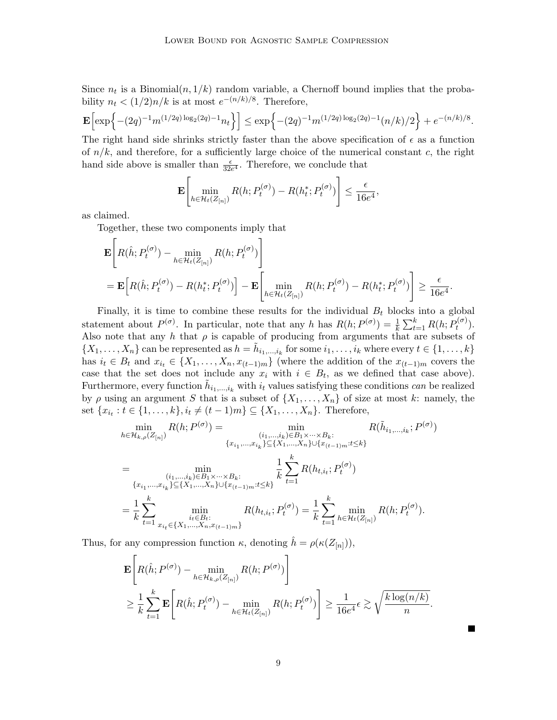Since  $n_t$  is a Binomial $(n, 1/k)$  random variable, a Chernoff bound implies that the probability  $n_t < (1/2)n/k$  is at most  $e^{-(n/k)/8}$ . Therefore,

$$
\mathbf{E}\Big[\exp\Big\{-(2q)^{-1}m^{(1/2q)\log_2(2q)-1}n_t\Big\}\Big]\leq \exp\Big\{-(2q)^{-1}m^{(1/2q)\log_2(2q)-1}(n/k)/2\Big\}+e^{-(n/k)/8}.
$$

The right hand side shrinks strictly faster than the above specification of  $\epsilon$  as a function of  $n/k$ , and therefore, for a sufficiently large choice of the numerical constant c, the right hand side above is smaller than  $\frac{\epsilon}{32e^4}$ . Therefore, we conclude that

$$
\mathbf{E}\left[\min_{h\in\mathcal{H}_t(Z_{[n]})} R(h; P_t^{(\sigma)}) - R(h_t^*; P_t^{(\sigma)})\right] \leq \frac{\epsilon}{16e^4},
$$

as claimed.

Together, these two components imply that

$$
\mathbf{E}\Bigg[R(\hat{h}; P_t^{(\sigma)}) - \min_{h \in \mathcal{H}_t(Z_{[n]})} R(h; P_t^{(\sigma)})\Bigg]
$$
  
= 
$$
\mathbf{E}\Big[R(\hat{h}; P_t^{(\sigma)}) - R(h_t^*; P_t^{(\sigma)})\Big] - \mathbf{E}\Bigg[\min_{h \in \mathcal{H}_t(Z_{[n]})} R(h; P_t^{(\sigma)}) - R(h_t^*; P_t^{(\sigma)})\Bigg] \ge \frac{\epsilon}{16e^4}.
$$

Finally, it is time to combine these results for the individual  $B_t$  blocks into a global statement about  $P^{(\sigma)}$ . In particular, note that any h has  $R(h; P^{(\sigma)}) = \frac{1}{k} \sum_{t=1}^{k} R(h; P^{(\sigma)}_t)$  $t^{(\sigma)}$ ). Also note that any h that  $\rho$  is capable of producing from arguments that are subsets of  $\{X_1,\ldots,X_n\}$  can be represented as  $h = \tilde{h}_{i_1,\ldots,i_k}$  for some  $i_1,\ldots,i_k$  where every  $t \in \{1,\ldots,k\}$ has  $i_t \in B_t$  and  $x_{i_t} \in \{X_1, \ldots, X_n, x_{(t-1)m}\}\$  (where the addition of the  $x_{(t-1)m}$  covers the case that the set does not include any  $x_i$  with  $i \in B_t$ , as we defined that case above). Furthermore, every function  $\tilde{h}_{i_1,\dots,i_k}$  with  $i_t$  values satisfying these conditions *can* be realized by  $\rho$  using an argument S that is a subset of  $\{X_1, \ldots, X_n\}$  of size at most k: namely, the set  $\{x_{i_t} : t \in \{1, ..., k\}, i_t \neq (t-1)m\} \subseteq \{X_1, ..., X_n\}$ . Therefore,

$$
\min_{h \in \mathcal{H}_{k,\rho}(Z_{[n]})} R(h; P^{(\sigma)}) = \min_{\substack{(i_1, \ldots, i_k) \in B_1 \times \cdots \times B_k:\\ \{x_{i_1}, \ldots, x_{i_k}\} \subseteq \{X_1, \ldots, X_n\} \cup \{x_{(t-1)m}: t \leq k\}}} R(\tilde{h}_{i_1, \ldots, i_k}; P^{(\sigma)})
$$
\n
$$
= \min_{\substack{(i_1, \ldots, i_k) \in B_1 \times \cdots \times B_k:\\ \{x_{i_1}, \ldots, x_{i_k}\} \subseteq \{X_1, \ldots, X_n\} \cup \{x_{(t-1)m}: t \leq k\}}} \frac{1}{k} \sum_{t=1}^k R(h_{t,i_t}; P_t^{(\sigma)})
$$
\n
$$
= \frac{1}{k} \sum_{t=1}^k \min_{\substack{i_t \in B_t:\\ \{i_t \in H_t:\\ \{x_{i_1}, \ldots, x_{i,n} \in \{X_1, \ldots, X_n, x_{(t-1)m}\}}} R(h_{t,i_t}; P_t^{(\sigma)}) = \frac{1}{k} \sum_{t=1}^k \min_{h \in \mathcal{H}_t(Z_{[n]})} R(h; P_t^{(\sigma)}).
$$

Thus, for any compression function  $\kappa$ , denoting  $\hat{h} = \rho(\kappa(Z_{[n]})),$ 

$$
\mathbf{E}\left[R(\hat{h}; P^{(\sigma)}) - \min_{h \in \mathcal{H}_{k,\rho}(Z_{[n]})} R(h; P^{(\sigma)})\right] \n\geq \frac{1}{k} \sum_{t=1}^{k} \mathbf{E}\left[R(\hat{h}; P_t^{(\sigma)}) - \min_{h \in \mathcal{H}_t(Z_{[n]})} R(h; P_t^{(\sigma)})\right] \geq \frac{1}{16e^4} \epsilon \gtrsim \sqrt{\frac{k \log(n/k)}{n}}
$$

.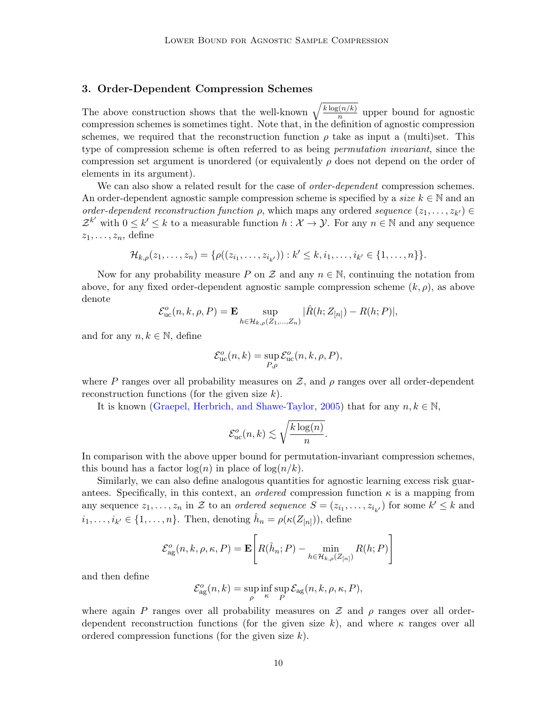## <span id="page-9-0"></span>3. Order-Dependent Compression Schemes

The above construction shows that the well-known  $\sqrt{\frac{k \log(n/k)}{n}}$  $\frac{n(n/k)}{n}$  upper bound for agnostic compression schemes is sometimes tight. Note that, in the definition of agnostic compression schemes, we required that the reconstruction function  $\rho$  take as input a (multi)set. This type of compression scheme is often referred to as being *permutation invariant*, since the compression set argument is unordered (or equivalently  $\rho$  does not depend on the order of elements in its argument).

We can also show a related result for the case of *order-dependent* compression schemes. An order-dependent agnostic sample compression scheme is specified by a *size*  $k \in \mathbb{N}$  and an order-dependent reconstruction function  $\rho$ , which maps any ordered sequence  $(z_1, \ldots, z_{k'}) \in$  $\mathcal{Z}^{k'}$  with  $0 \leq k' \leq k$  to a measurable function  $h: \mathcal{X} \to \mathcal{Y}$ . For any  $n \in \mathbb{N}$  and any sequence  $z_1, \ldots, z_n$ , define

$$
\mathcal{H}_{k,\rho}(z_1,\ldots,z_n)=\{\rho((z_{i_1},\ldots,z_{i_{k'}})):k'\leq k,i_1,\ldots,i_{k'}\in\{1,\ldots,n\}\}.
$$

Now for any probability measure P on Z and any  $n \in \mathbb{N}$ , continuing the notation from above, for any fixed order-dependent agnostic sample compression scheme  $(k, \rho)$ , as above denote

$$
\mathcal{E}^o_{\text{uc}}(n, k, \rho, P) = \mathbf{E} \sup_{h \in \mathcal{H}_{k, \rho}(Z_1, \ldots, Z_n)} |\hat{R}(h; Z_{[n]}) - R(h; P)|,
$$

and for any  $n, k \in \mathbb{N}$ , define

$$
\mathcal{E}_{\text{uc}}^o(n,k) = \sup_{P,\rho} \mathcal{E}_{\text{uc}}^o(n,k,\rho,P),
$$

where P ranges over all probability measures on Z, and  $\rho$  ranges over all order-dependent reconstruction functions (for the given size  $k$ ).

It is known [\(Graepel, Herbrich, and Shawe-Taylor,](#page-15-2) [2005\)](#page-15-2) that for any  $n, k \in \mathbb{N}$ ,

$$
\mathcal{E}_{\text{uc}}^o(n,k) \lesssim \sqrt{\frac{k \log(n)}{n}}
$$

.

In comparison with the above upper bound for permutation-invariant compression schemes, this bound has a factor  $\log(n)$  in place of  $\log(n/k)$ .

Similarly, we can also define analogous quantities for agnostic learning excess risk guarantees. Specifically, in this context, an *ordered* compression function  $\kappa$  is a mapping from any sequence  $z_1, \ldots, z_n$  in Z to an *ordered sequence*  $S = (z_{i_1}, \ldots, z_{i_{k'}})$  for some  $k' \leq k$  and  $i_1, \ldots, i_{k'} \in \{1, \ldots, n\}$ . Then, denoting  $\hat{h}_n = \rho(\kappa(Z_{[n]})),$  define

$$
\mathcal{E}_{\text{ag}}^{o}(n,k,\rho,\kappa,P) = \mathbf{E}\left[R(\hat{h}_n;P) - \min_{h \in \mathcal{H}_{k,\rho}(Z_{[n]})} R(h;P)\right]
$$

and then define

$$
\mathcal{E}_{\text{ag}}^o(n,k) = \sup_{\rho} \inf_{\kappa} \sup_{P} \mathcal{E}_{\text{ag}}(n,k,\rho,\kappa,P),
$$

where again P ranges over all probability measures on  $\mathcal Z$  and  $\rho$  ranges over all orderdependent reconstruction functions (for the given size k), and where  $\kappa$  ranges over all ordered compression functions (for the given size  $k$ ).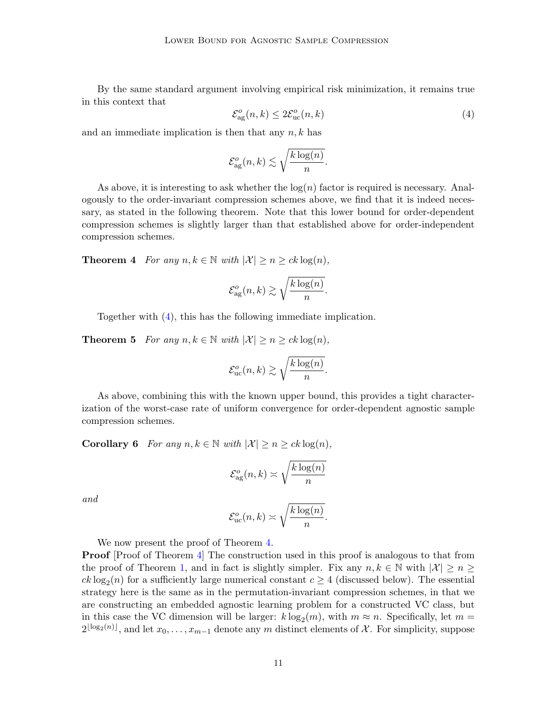By the same standard argument involving empirical risk minimization, it remains true in this context that

<span id="page-10-0"></span>
$$
\mathcal{E}_{\text{ag}}^{o}(n,k) \le 2\mathcal{E}_{\text{uc}}^{o}(n,k)
$$
\n
$$
(4)
$$

and an immediate implication is then that any  $n, k$  has

$$
\mathcal{E}_{\text{ag}}^o(n,k) \lesssim \sqrt{\frac{k \log(n)}{n}}.
$$

As above, it is interesting to ask whether the  $log(n)$  factor is required is necessary. Analogously to the order-invariant compression schemes above, we find that it is indeed necessary, as stated in the following theorem. Note that this lower bound for order-dependent compression schemes is slightly larger than that established above for order-independent compression schemes.

<span id="page-10-1"></span>**Theorem 4** For any  $n, k \in \mathbb{N}$  with  $|\mathcal{X}| \geq n \geq ck \log(n)$ ,

$$
\mathcal{E}_{\text{ag}}^o(n,k) \gtrsim \sqrt{\frac{k \log(n)}{n}}.
$$

Together with [\(4\)](#page-10-0), this has the following immediate implication.

**Theorem 5** For any  $n, k \in \mathbb{N}$  with  $|\mathcal{X}| \geq n \geq ck \log(n)$ ,

$$
\mathcal{E}_{\text{uc}}^o(n,k) \gtrsim \sqrt{\frac{k \log(n)}{n}}.
$$

As above, combining this with the known upper bound, this provides a tight characterization of the worst-case rate of uniform convergence for order-dependent agnostic sample compression schemes.

**Corollary 6** For any  $n, k \in \mathbb{N}$  with  $|\mathcal{X}| \geq n \geq ck \log(n)$ ,

$$
\mathcal{E}_{\text{ag}}^o(n,k) \asymp \sqrt{\frac{k \log(n)}{n}}
$$

and

$$
\mathcal{E}_{\text{uc}}^o(n,k) \asymp \sqrt{\frac{k \log(n)}{n}}.
$$

We now present the proof of Theorem [4.](#page-10-1)

**Proof** [Proof of Theorem [4\]](#page-10-1) The construction used in this proof is analogous to that from the proof of Theorem [1,](#page-3-1) and in fact is slightly simpler. Fix any  $n, k \in \mathbb{N}$  with  $|\mathcal{X}| \geq n \geq$  $ck \log_2(n)$  for a sufficiently large numerical constant  $c \geq 4$  (discussed below). The essential strategy here is the same as in the permutation-invariant compression schemes, in that we are constructing an embedded agnostic learning problem for a constructed VC class, but in this case the VC dimension will be larger:  $k \log_2(m)$ , with  $m \approx n$ . Specifically, let  $m =$  $2^{\lfloor \log_2(n) \rfloor}$ , and let  $x_0, \ldots, x_{m-1}$  denote any m distinct elements of X. For simplicity, suppose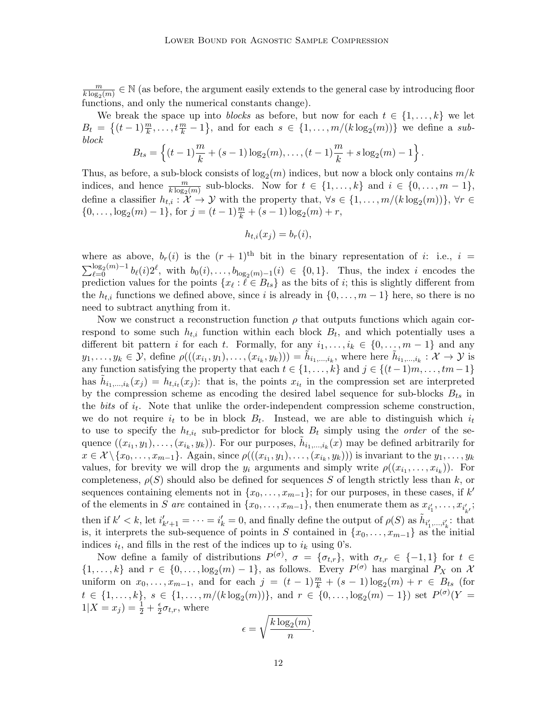m  $\frac{m}{k \log_2(m)} \in \mathbb{N}$  (as before, the argument easily extends to the general case by introducing floor functions, and only the numerical constants change).

We break the space up into blocks as before, but now for each  $t \in \{1, \ldots, k\}$  we let  $B_t = \{(t-1)\frac{m}{k}, \ldots, t\frac{m}{k}-1\}$ , and for each  $s \in \{1, \ldots, m/(k \log_2(m))\}$  we define a subblock

$$
B_{ts} = \left\{ (t-1)\frac{m}{k} + (s-1)\log_2(m), \ldots, (t-1)\frac{m}{k} + s\log_2(m) - 1 \right\}.
$$

Thus, as before, a sub-block consists of  $\log_2(m)$  indices, but now a block only contains  $m/k$ indices, and hence  $\frac{m}{k \log_2(m)}$  sub-blocks. Now for  $t \in \{1, ..., k\}$  and  $i \in \{0, ..., m-1\}$ , define a classifier  $h_{t,i}: \mathcal{X} \to \mathcal{Y}$  with the property that,  $\forall s \in \{1, \ldots, m/(k \log_2(m))\}, \forall r \in$  $\{0, \ldots, \log_2(m) - 1\},\$ for  $j = (t - 1)\frac{m}{k} + (s - 1)\log_2(m) + r$ ,

$$
h_{t,i}(x_j) = b_r(i),
$$

where as above,  $b_r(i)$  is the  $(r + 1)$ <sup>th</sup> bit in the binary representation of i: i.e., i =  $\sum_{\ell=0}^{\log_2(m)-1} b_{\ell}(i) 2^{\ell}$ , with  $b_0(i), \ldots, b_{\log_2(m)-1}(i) \in \{0,1\}$ . Thus, the index i encodes the prediction values for the points  $\{x_\ell : \ell \in B_{ts}\}\$ as the bits of i; this is slightly different from the  $h_{t,i}$  functions we defined above, since i is already in  $\{0,\ldots,m-1\}$  here, so there is no need to subtract anything from it.

Now we construct a reconstruction function  $\rho$  that outputs functions which again correspond to some such  $h_{t,i}$  function within each block  $B_t$ , and which potentially uses a different bit pattern *i* for each *t*. Formally, for any  $i_1, \ldots, i_k \in \{0, \ldots, m-1\}$  and any  $y_1,\ldots,y_k\in\mathcal{Y},\$  define  $\rho(((x_{i_1},y_1),\ldots,(x_{i_k},y_k)))=\tilde{h}_{i_1,\ldots,i_k},\$  where here  $\tilde{h}_{i_1,\ldots,i_k}:\mathcal{X}\to\mathcal{Y}$  is any function satisfying the property that each  $t \in \{1, \ldots, k\}$  and  $j \in \{(t-1)m, \ldots, tm-1\}$ has  $\tilde{h}_{i_1,\dots,i_k}(x_j) = h_{t,i_t}(x_j)$ : that is, the points  $x_{i_t}$  in the compression set are interpreted by the compression scheme as encoding the desired label sequence for sub-blocks  $B_{ts}$  in the *bits* of  $i_t$ . Note that unlike the order-independent compression scheme construction, we do not require  $i_t$  to be in block  $B_t$ . Instead, we are able to distinguish which  $i_t$ to use to specify the  $h_{t, i_t}$  sub-predictor for block  $B_t$  simply using the *order* of the sequence  $((x_{i_1}, y_1), \ldots, (x_{i_k}, y_k))$ . For our purposes,  $\tilde{h}_{i_1,\ldots,i_k}(x)$  may be defined arbitrarily for  $x \in \mathcal{X} \setminus \{x_0, \ldots, x_{m-1}\}.$  Again, since  $\rho(((x_{i_1}, y_1), \ldots, (x_{i_k}, y_k)))$  is invariant to the  $y_1, \ldots, y_k$ values, for brevity we will drop the  $y_i$  arguments and simply write  $\rho((x_{i_1},...,x_{i_k}))$ . For completeness,  $\rho(S)$  should also be defined for sequences S of length strictly less than k, or sequences containing elements not in  $\{x_0, \ldots, x_{m-1}\}$ ; for our purposes, in these cases, if k' of the elements in S are contained in  $\{x_0, \ldots, x_{m-1}\}$ , then enumerate them as  $x_{i'_1}, \ldots, x_{i'_{k'}};$ then if  $k' < k$ , let  $i'_{k'+1} = \cdots = i'_{k} = 0$ , and finally define the output of  $\rho(S)$  as  $\tilde{h}_{i'_{1},...,i'_{k}}$ : that is, it interprets the sub-sequence of points in S contained in  $\{x_0, \ldots, x_{m-1}\}\$  as the initial indices  $i_t$ , and fills in the rest of the indices up to  $i_k$  using 0's.

Now define a family of distributions  $P^{(\sigma)}$ ,  $\sigma = {\sigma_{t,r}}$ , with  $\sigma_{t,r} \in \{-1,1\}$  for  $t \in$  $\{1,\ldots,k\}$  and  $r \in \{0,\ldots,\log_2(m)-1\}$ , as follows. Every  $P^{(\sigma)}$  has marginal  $P_X$  on X uniform on  $x_0, \ldots, x_{m-1}$ , and for each  $j = (t-1)\frac{m}{k} + (s-1)\log_2(m) + r \in B_{ts}$  (for  $t \in \{1, \ldots, k\}, s \in \{1, \ldots, m/(k \log_2(m))\}, \text{ and } r \in \{0, \ldots, \log_2(m)-1\}) \text{ set } P^{(\sigma)}(Y)$  $1|X = x_j) = \frac{1}{2} + \frac{\epsilon}{2}$  $\frac{\epsilon}{2} \sigma_{t,r}$ , where

$$
\epsilon = \sqrt{\frac{k \log_2(m)}{n}}
$$

.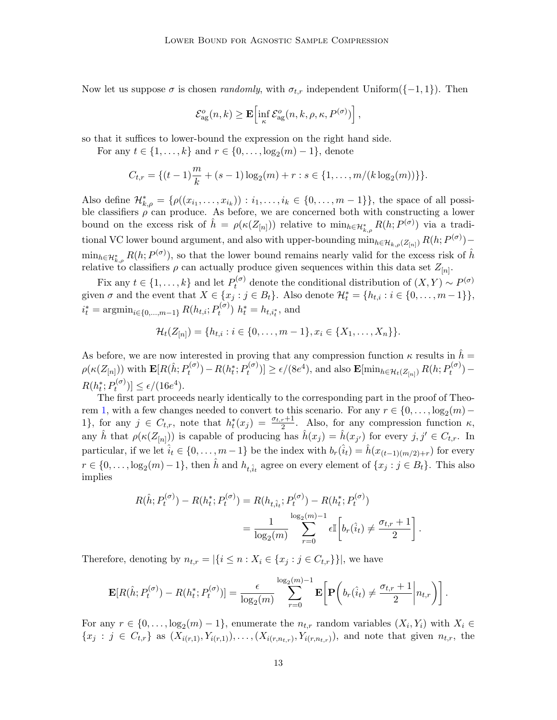Now let us suppose  $\sigma$  is chosen *randomly*, with  $\sigma_{t,r}$  independent Uniform({-1,1}). Then

$$
\mathcal{E}_{\text{ag}}^o(n,k) \geq \mathbf{E} \left[ \inf_{\kappa} \mathcal{E}_{\text{ag}}^o(n,k,\rho,\kappa,P^{(\sigma)}) \right],
$$

so that it suffices to lower-bound the expression on the right hand side.

For any  $t \in \{1, ..., k\}$  and  $r \in \{0, ..., \log_2(m) - 1\}$ , denote

$$
C_{t,r} = \{(t-1)\frac{m}{k} + (s-1)\log_2(m) + r : s \in \{1, ..., m/(k \log_2(m))\}\}.
$$

Also define  $\mathcal{H}_{k,\rho}^* = \{\rho((x_{i_1},\ldots,x_{i_k})) : i_1,\ldots,i_k \in \{0,\ldots,m-1\}\},\$  the space of all possible classifiers  $\rho$  can produce. As before, we are concerned both with constructing a lower bound on the excess risk of  $\hat{h} = \rho(\kappa(Z_{[n]}))$  relative to  $\min_{h \in \mathcal{H}_{k,\rho}^*} R(h; P^{(\sigma)})$  via a traditional VC lower bound argument, and also with upper-bounding  $\min_{h \in \mathcal{H}_{k,\rho}(Z_{[n]})} R(h; P^{(\sigma)}) \min_{h\in\mathcal{H}_{k,\rho}^*} R(h; P^{(\sigma)})$ , so that the lower bound remains nearly valid for the excess risk of  $\hat{h}$ relative to classifiers  $\rho$  can actually produce given sequences within this data set  $Z_{[n]}$ .

Fix any  $t \in \{1, ..., k\}$  and let  $P_t^{(\sigma)}$  denote the conditional distribution of  $(X, Y) \sim P^{(\sigma)}$ given  $\sigma$  and the event that  $X \in \{x_j : j \in B_t\}$ . Also denote  $\mathcal{H}_t^* = \{h_{t,i} : i \in \{0, \ldots, m-1\}\},$  $i_t^* = \text{argmin}_{i \in \{0, ..., m-1\}} R(h_{t,i}; P_t^{(\sigma)})$  $h_t^{(\sigma)}$ )  $h_t^* = h_{t,i_t^*}$ , and

$$
\mathcal{H}_t(Z_{[n]}) = \{h_{t,i} : i \in \{0, \ldots, m-1\}, x_i \in \{X_1, \ldots, X_n\}\}.
$$

As before, we are now interested in proving that any compression function  $\kappa$  results in  $\hbar =$  $\rho(\kappa(Z_{[n]}))$  with  $\mathbf{E}[R(\hat{h};P_t^{(\sigma)})]$  $P_t^{(\sigma)}$ ) –  $R(h_t^*; P_t^{(\sigma)}$  $t^{(\sigma)}(t) \ge \epsilon/(8e^4)$ , and also  $\mathbf{E}[\min_{h \in \mathcal{H}_t(Z_{[n]})} R(h; P_t^{(\sigma)})]$  $t^{(\sigma)}$ ) —  $R(h_t^*; P_t^{(\sigma)}$  $\left[e^{(\sigma)}\right] \leq \epsilon/(16e^4).$ 

The first part proceeds nearly identically to the corresponding part in the proof of Theo-rem [1,](#page-3-1) with a few changes needed to convert to this scenario. For any  $r \in \{0, \ldots, \log_2(m) - \}$ 1}, for any  $j \in C_{t,r}$ , note that  $h_t^*(x_j) = \frac{\sigma_{t,r}+1}{2}$ . Also, for any compression function  $\kappa$ , any  $\hat{h}$  that  $\rho(\kappa(Z_{[n]}))$  is capable of producing has  $\hat{h}(x_j) = \hat{h}(x_{j'})$  for every  $j, j' \in C_{t,r}$ . In particular, if we let  $\hat{i}_t \in \{0, \ldots, m-1\}$  be the index with  $b_r(\hat{i}_t) = \hat{h}(x_{(t-1)(m/2)+r})$  for every  $r \in \{0, \ldots, \log_2(m) - 1\}$ , then  $\hat{h}$  and  $h_{t, \hat{i}_t}$  agree on every element of  $\{x_j : j \in B_t\}$ . This also implies

$$
R(\hat{h}; P_t^{(\sigma)}) - R(h_t^*; P_t^{(\sigma)}) = R(h_{t,\hat{i}_t}; P_t^{(\sigma)}) - R(h_t^*; P_t^{(\sigma)})
$$
  
= 
$$
\frac{1}{\log_2(m)} \sum_{r=0}^{\log_2(m)-1} \epsilon \mathbb{I}\left[b_r(\hat{i}_t) \neq \frac{\sigma_{t,r}+1}{2}\right].
$$

Therefore, denoting by  $n_{t,r} = |\{i \leq n : X_i \in \{x_j : j \in C_{t,r}\}\}|$ , we have

$$
\mathbf{E}[R(\hat{h}; P_t^{(\sigma)}) - R(h_t^*; P_t^{(\sigma)})] = \frac{\epsilon}{\log_2(m)} \sum_{r=0}^{\log_2(m)-1} \mathbf{E}\bigg[\mathbf{P}\bigg(b_r(\hat{i}_t) \neq \frac{\sigma_{t,r}+1}{2}\bigg|n_{t,r}\bigg)\bigg].
$$

For any  $r \in \{0, \ldots, \log_2(m) - 1\}$ , enumerate the  $n_{t,r}$  random variables  $(X_i, Y_i)$  with  $X_i \in$  ${x_j : j \in C_{t,r}}$  as  $(X_{i(r,1)}, Y_{i(r,1)}), \ldots, (X_{i(r,n_{t,r})}, Y_{i(r,n_{t,r})})$ , and note that given  $n_{t,r}$ , the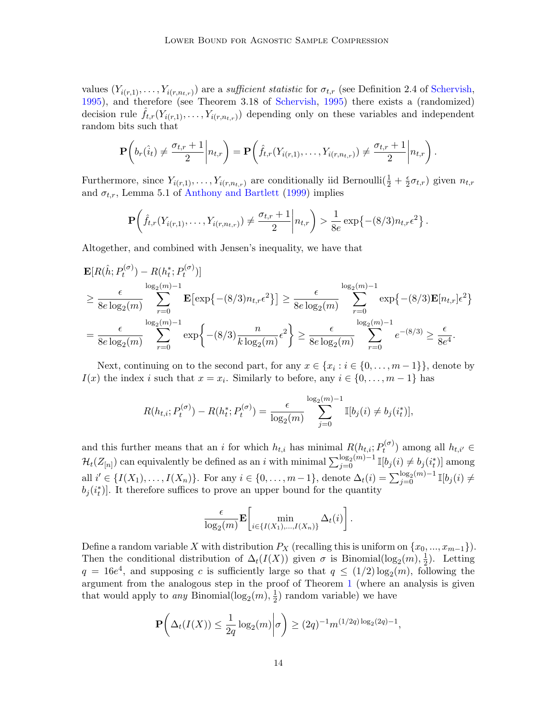values  $(Y_{i(r,1)},\ldots,Y_{i(r,n_{t,r})})$  are a sufficient statistic for  $\sigma_{t,r}$  (see Definition 2.4 of [Schervish,](#page-16-8) [1995\)](#page-16-8), and therefore (see Theorem 3.18 of [Schervish,](#page-16-8) [1995\)](#page-16-8) there exists a (randomized) decision rule  $\hat{f}_{t,r}(Y_{i(r,1)},\ldots,Y_{i(r,n_{t,r})})$  depending only on these variables and independent random bits such that

$$
\mathbf{P}\left(b_r(\hat{i}_t) \neq \frac{\sigma_{t,r}+1}{2}\bigg|n_{t,r}\right) = \mathbf{P}\left(\hat{f}_{t,r}(Y_{i(r,1)},\ldots,Y_{i(r,n_{t,r})}) \neq \frac{\sigma_{t,r}+1}{2}\bigg|n_{t,r}\right).
$$

Furthermore, since  $Y_{i(r,1)}, \ldots, Y_{i(r,n_{t,r})}$  are conditionally iid Bernoulli $(\frac{1}{2} + \frac{\epsilon}{2})$  $(\frac{\epsilon}{2}\sigma_{t,r})$  given  $n_{t,r}$ and  $\sigma_{t,r}$ , Lemma 5.1 of [Anthony and Bartlett](#page-15-10) [\(1999\)](#page-15-10) implies

$$
\mathbf{P}\left(\hat{f}_{t,r}(Y_{i(r,1)},\ldots,Y_{i(r,n_{t,r})})\neq \frac{\sigma_{t,r}+1}{2}\bigg|n_{t,r}\right) > \frac{1}{8e}\exp\bigl\{-(8/3)n_{t,r}\epsilon^2\bigr\}\,.
$$

Altogether, and combined with Jensen's inequality, we have that

$$
\mathbf{E}[R(\hat{h}; P_t^{(\sigma)}) - R(h_t^*; P_t^{(\sigma)})]
$$
\n
$$
\geq \frac{\epsilon}{8e \log_2(m)} \sum_{r=0}^{\log_2(m)-1} \mathbf{E}[\exp\{-(8/3)n_{t,r}\epsilon^2\}] \geq \frac{\epsilon}{8e \log_2(m)} \sum_{r=0}^{\log_2(m)-1} \exp\{-(8/3)\mathbf{E}[n_{t,r}]\epsilon^2\}
$$
\n
$$
= \frac{\epsilon}{8e \log_2(m)} \sum_{r=0}^{\log_2(m)-1} \exp\{- (8/3) \frac{n}{k \log_2(m)} \epsilon^2\} \geq \frac{\epsilon}{8e \log_2(m)} \sum_{r=0}^{\log_2(m)-1} e^{-(8/3)} \geq \frac{\epsilon}{8e^4}.
$$

Next, continuing on to the second part, for any  $x \in \{x_i : i \in \{0, ..., m-1\}\}\)$ , denote by  $I(x)$  the index i such that  $x = x_i$ . Similarly to before, any  $i \in \{0, ..., m-1\}$  has

$$
R(h_{t,i}; P_t^{(\sigma)}) - R(h_t^*; P_t^{(\sigma)}) = \frac{\epsilon}{\log_2(m)} \sum_{j=0}^{\log_2(m)-1} \mathbb{I}[b_j(i) \neq b_j(i_t^*)],
$$

and this further means that an i for which  $h_{t,i}$  has minimal  $R(h_{t,i}; P_t^{(\sigma)})$  $h_t^{(\sigma)}$  among all  $h_{t,i'} \in$  $\mathcal{H}_t(Z_{[n]})$  can equivalently be defined as an i with minimal  $\sum_{j=0}^{\log_2(m)-1}\mathbb{I}[b_j(i) \neq b_j(i^*_t)]$  among all  $i' \in \{I(X_1), \ldots, I(X_n)\}\$ . For any  $i \in \{0, \ldots, m-1\}$ , denote  $\Delta_t(i) = \sum_{j=0}^{\log_2(m)-1} \mathbb{I}[b_j(i) \neq j]$  $b_j(i_t^*)$ . It therefore suffices to prove an upper bound for the quantity

$$
\frac{\epsilon}{\log_2(m)} \mathbf{E} \left[ \min_{i \in \{I(X_1),...,I(X_n)\}} \Delta_t(i) \right].
$$

Define a random variable X with distribution  $P_X$  (recalling this is uniform on  $\{x_0, ..., x_{m-1}\}$ ). Then the conditional distribution of  $\Delta_t(I(X))$  given  $\sigma$  is Binomial(log<sub>2</sub> $(m), \frac{1}{2}$ )  $(\frac{1}{2})$ . Letting  $q = 16e^4$ , and supposing c is sufficiently large so that  $q \leq (1/2) \log_2(m)$ , following the argument from the analogous step in the proof of Theorem [1](#page-3-1) (where an analysis is given that would apply to *any* Binomial( $\log_2(m)$ ,  $\frac{1}{2}$ )  $(\frac{1}{2})$  random variable) we have

$$
\mathbf{P}\left(\Delta_t(I(X)) \le \frac{1}{2q} \log_2(m) \middle| \sigma\right) \ge (2q)^{-1} m^{(1/2q) \log_2(2q) - 1},
$$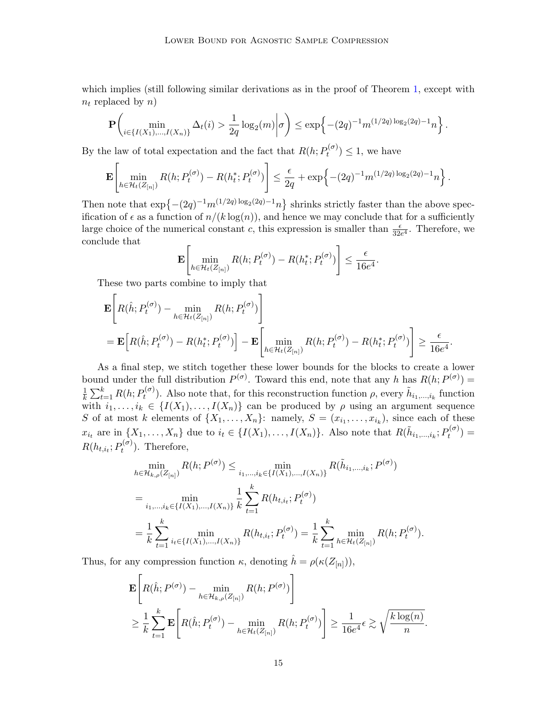which implies (still following similar derivations as in the proof of Theorem [1,](#page-3-1) except with  $n_t$  replaced by n)

$$
\mathbf{P}\left(\min_{i\in\{I(X_1),...,I(X_n)\}}\Delta_t(i) > \frac{1}{2q}\log_2(m)\middle|\sigma\right) \leq \exp\left\{-(2q)^{-1}m^{(1/2q)\log_2(2q)-1}n\right\}.
$$

By the law of total expectation and the fact that  $R(h; P_t^{(\sigma)})$  $(t^{(\sigma)}) \leq 1$ , we have

$$
\mathbf{E}\left[\min_{h\in\mathcal{H}_t(Z_{[n]})} R(h; P_t^{(\sigma)}) - R(h_t^*; P_t^{(\sigma)})\right] \leq \frac{\epsilon}{2q} + \exp\left\{-(2q)^{-1}m^{(1/2q)\log_2(2q)-1}n\right\}.
$$

Then note that  $\exp\left\{-\left(2q\right)^{-1}m^{\left(1/2q\right)\log_2\left(2q\right)-1}n\right\}$  shrinks strictly faster than the above specification of  $\epsilon$  as a function of  $n/(k \log(n))$ , and hence we may conclude that for a sufficiently large choice of the numerical constant c, this expression is smaller than  $\frac{\epsilon}{32e^4}$ . Therefore, we conclude that <u>г</u>

$$
\mathbf{E}\left[\min_{h\in\mathcal{H}_t(Z_{[n]})} R(h; P_t^{(\sigma)}) - R(h_t^*; P_t^{(\sigma)})\right] \leq \frac{\epsilon}{16e^4}.
$$

These two parts combine to imply that

$$
\mathbf{E}\left[R(\hat{h}; P_t^{(\sigma)}) - \min_{h \in \mathcal{H}_t(Z_{[n]})} R(h; P_t^{(\sigma)})\right]
$$
\n
$$
= \mathbf{E}\left[R(\hat{h}; P_t^{(\sigma)}) - R(h_t^*; P_t^{(\sigma)})\right] - \mathbf{E}\left[\min_{h \in \mathcal{H}_t(Z_{[n]})} R(h; P_t^{(\sigma)}) - R(h_t^*; P_t^{(\sigma)})\right] \ge \frac{\epsilon}{16e^4}
$$

.

As a final step, we stitch together these lower bounds for the blocks to create a lower bound under the full distribution  $P^{(\sigma)}$ . Toward this end, note that any h has  $R(h; P^{(\sigma)}) =$ 1  $\frac{1}{k} \sum_{t=1}^{k} R(h; P_t^{(\sigma)})$  $t^{(\sigma)}$ ). Also note that, for this reconstruction function  $\rho$ , every  $\tilde{h}_{i_1,\dots,i_k}$  function with  $i_1, \ldots, i_k \in \{I(X_1), \ldots, I(X_n)\}\)$  can be produced by  $\rho$  using an argument sequence S of at most k elements of  $\{X_1, \ldots, X_n\}$ : namely,  $S = (x_{i_1}, \ldots, x_{i_k})$ , since each of these  $x_{i_t}$  are in  $\{X_1,\ldots,X_n\}$  due to  $i_t \in \{I(X_1),\ldots,I(X_n)\}$ . Also note that  $R(\tilde{h}_{i_1,\ldots,i_k}; P_t^{(\sigma)})$  $t^{(\sigma)}$ ) =  $R(h_{t,i_t}; P_t^{(\sigma)})$  $t^{(\sigma)}$ ). Therefore,

$$
\min_{h \in \mathcal{H}_{k,\rho}(Z_{[n]})} R(h; P^{(\sigma)}) \le \min_{i_1, \dots, i_k \in \{I(X_1), \dots, I(X_n)\}} R(\tilde{h}_{i_1, \dots, i_k}; P^{(\sigma)})
$$
\n
$$
= \min_{i_1, \dots, i_k \in \{I(X_1), \dots, I(X_n)\}} \frac{1}{k} \sum_{t=1}^k R(h_{t,i_t}; P_t^{(\sigma)})
$$
\n
$$
= \frac{1}{k} \sum_{t=1}^k \min_{i_t \in \{I(X_1), \dots, I(X_n)\}} R(h_{t,i_t}; P_t^{(\sigma)}) = \frac{1}{k} \sum_{t=1}^k \min_{h \in \mathcal{H}_t(Z_{[n]})} R(h; P_t^{(\sigma)}).
$$

Thus, for any compression function  $\kappa$ , denoting  $\hat{h} = \rho(\kappa(Z_{[n]})),$ 

$$
\mathbf{E}\left[R(\hat{h}; P^{(\sigma)}) - \min_{h \in \mathcal{H}_{k,\rho}(Z_{[n]})} R(h; P^{(\sigma)})\right] \n\geq \frac{1}{k} \sum_{t=1}^{k} \mathbf{E}\left[R(\hat{h}; P_t^{(\sigma)}) - \min_{h \in \mathcal{H}_t(Z_{[n]})} R(h; P_t^{(\sigma)})\right] \geq \frac{1}{16e^4} \epsilon \gtrsim \sqrt{\frac{k \log(n)}{n}}.
$$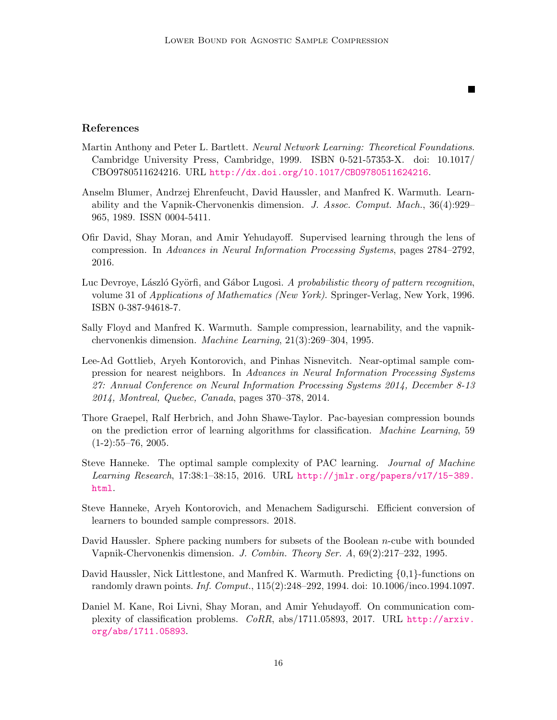$\blacksquare$ 

## References

- <span id="page-15-10"></span>Martin Anthony and Peter L. Bartlett. Neural Network Learning: Theoretical Foundations. Cambridge University Press, Cambridge, 1999. ISBN 0-521-57353-X. doi: 10.1017/ CBO9780511624216. URL <http://dx.doi.org/10.1017/CBO9780511624216>.
- <span id="page-15-0"></span>Anselm Blumer, Andrzej Ehrenfeucht, David Haussler, and Manfred K. Warmuth. Learnability and the Vapnik-Chervonenkis dimension. J. Assoc. Comput. Mach., 36(4):929– 965, 1989. ISSN 0004-5411.
- <span id="page-15-4"></span>Ofir David, Shay Moran, and Amir Yehudayoff. Supervised learning through the lens of compression. In Advances in Neural Information Processing Systems, pages 2784–2792, 2016.
- <span id="page-15-1"></span>Luc Devroye, László Györfi, and Gábor Lugosi. A probabilistic theory of pattern recognition, volume 31 of Applications of Mathematics (New York). Springer-Verlag, New York, 1996. ISBN 0-387-94618-7.
- <span id="page-15-3"></span>Sally Floyd and Manfred K. Warmuth. Sample compression, learnability, and the vapnikchervonenkis dimension. Machine Learning, 21(3):269–304, 1995.
- <span id="page-15-6"></span>Lee-Ad Gottlieb, Aryeh Kontorovich, and Pinhas Nisnevitch. Near-optimal sample compression for nearest neighbors. In Advances in Neural Information Processing Systems 27: Annual Conference on Neural Information Processing Systems 2014, December 8-13 2014, Montreal, Quebec, Canada, pages 370–378, 2014.
- <span id="page-15-2"></span>Thore Graepel, Ralf Herbrich, and John Shawe-Taylor. Pac-bayesian compression bounds on the prediction error of learning algorithms for classification. Machine Learning, 59  $(1-2):55-76, 2005.$
- <span id="page-15-9"></span>Steve Hanneke. The optimal sample complexity of PAC learning. *Journal of Machine* Learning Research, 17:38:1–38:15, 2016. URL [http://jmlr.org/papers/v17/15-389.](http://jmlr.org/papers/v17/15-389.html) [html](http://jmlr.org/papers/v17/15-389.html).
- <span id="page-15-5"></span>Steve Hanneke, Aryeh Kontorovich, and Menachem Sadigurschi. Efficient conversion of learners to bounded sample compressors. 2018.
- <span id="page-15-11"></span>David Haussler. Sphere packing numbers for subsets of the Boolean  $n$ -cube with bounded Vapnik-Chervonenkis dimension. J. Combin. Theory Ser. A, 69(2):217–232, 1995.
- <span id="page-15-8"></span>David Haussler, Nick Littlestone, and Manfred K. Warmuth. Predicting {0,1}-functions on randomly drawn points. Inf. Comput., 115(2):248–292, 1994. doi: 10.1006/inco.1994.1097.
- <span id="page-15-7"></span>Daniel M. Kane, Roi Livni, Shay Moran, and Amir Yehudayoff. On communication complexity of classification problems. CoRR, abs/1711.05893, 2017. URL [http://arxiv.](http://arxiv.org/abs/1711.05893) [org/abs/1711.05893](http://arxiv.org/abs/1711.05893).